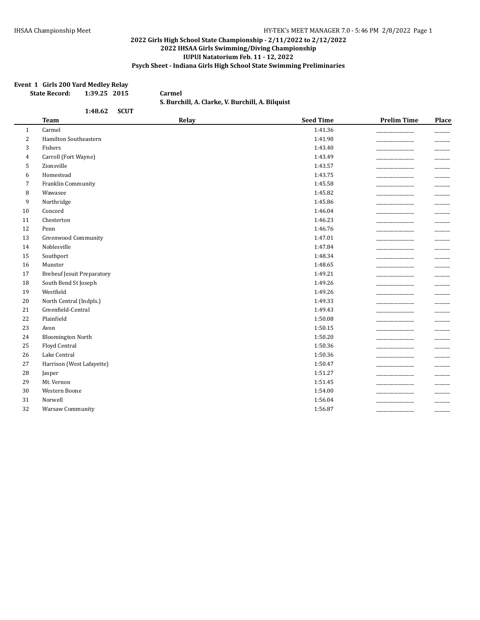#### **Event 1 Girls 200 Yard Medley Relay**

| <b>State Record:</b> | 1:39.25 2015 |  |
|----------------------|--------------|--|
|----------------------|--------------|--|

**State Record: 1:39.25 2015 Carmel S. Burchill, A. Clarke, V. Burchill, A. Bilquist**

|                | 1:48.62<br><b>SCUT</b>            |       |                  |                    |                          |
|----------------|-----------------------------------|-------|------------------|--------------------|--------------------------|
|                | <b>Team</b>                       | Relay | <b>Seed Time</b> | <b>Prelim Time</b> | Place                    |
| $\mathbf{1}$   | Carmel                            |       | 1:41.36          |                    |                          |
| $\overline{2}$ | Hamilton Southeastern             |       | 1:41.90          |                    |                          |
| 3              | Fishers                           |       | 1:43.40          |                    |                          |
| $\overline{4}$ | Carroll (Fort Wayne)              |       | 1:43.49          |                    | -----                    |
| 5              | Zionsville                        |       | 1:43.57          |                    |                          |
| 6              | Homestead                         |       | 1:43.75          |                    |                          |
| 7              | Franklin Community                |       | 1:45.58          |                    |                          |
| 8              | Wawasee                           |       | 1:45.82          |                    |                          |
| 9              | Northridge                        |       | 1:45.86          |                    |                          |
| 10             | Concord                           |       | 1:46.04          |                    | $\overline{\phantom{a}}$ |
| 11             | Chesterton                        |       | 1:46.23          |                    | _____                    |
| 12             | Penn                              |       | 1:46.76          |                    | $\overline{\phantom{a}}$ |
| 13             | Greenwood Community               |       | 1:47.01          |                    |                          |
| 14             | Noblesville                       |       | 1:47.84          |                    |                          |
| 15             | Southport                         |       | 1:48.34          |                    |                          |
| 16             | Munster                           |       | 1:48.65          |                    |                          |
| 17             | <b>Brebeuf Jesuit Preparatory</b> |       | 1:49.21          |                    |                          |
| 18             | South Bend St Joseph              |       | 1:49.26          |                    |                          |
| 19             | Westfield                         |       | 1:49.26          |                    |                          |
| 20             | North Central (Indpls.)           |       | 1:49.33          |                    | $\overline{\phantom{a}}$ |
| 21             | Greenfield-Central                |       | 1:49.43          |                    |                          |
| 22             | Plainfield                        |       | 1:50.08          |                    |                          |
| 23             | Avon                              |       | 1:50.15          |                    |                          |
| 24             | <b>Bloomington North</b>          |       | 1:50.20          |                    | $\overline{\phantom{a}}$ |
| 25             | Floyd Central                     |       | 1:50.36          |                    |                          |
| 26             | Lake Central                      |       | 1:50.36          |                    |                          |
| 27             | Harrison (West Lafayette)         |       | 1:50.47          |                    |                          |
| 28             | Jasper                            |       | 1:51.27          |                    |                          |
| 29             | Mt. Vernon                        |       | 1:51.45          |                    | ----                     |
| 30             | Western Boone                     |       | 1:54.00          |                    |                          |
| 31             | Norwell                           |       | 1:56.04          |                    |                          |
| 32             | Warsaw Community                  |       | 1:56.87          |                    |                          |
|                |                                   |       |                  |                    |                          |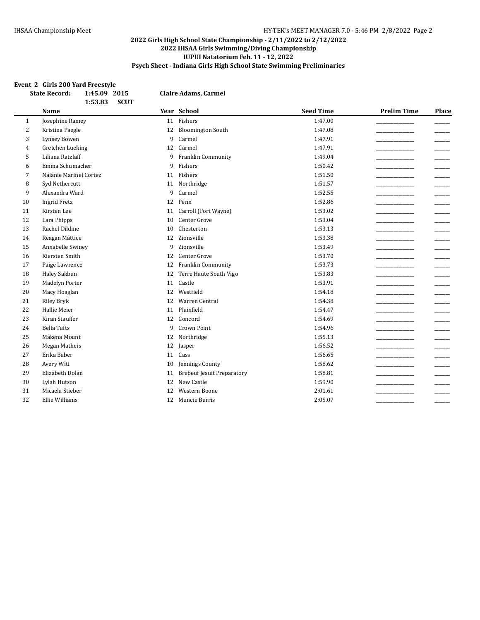#### **Event 2 Girls 200 Yard Freestyle**

| 1:45.09 2015<br><b>State Record:</b><br>1:53.83<br><b>SCUT</b> |                        | <b>Claire Adams, Carmel</b> |                                   |                  |                    |                          |
|----------------------------------------------------------------|------------------------|-----------------------------|-----------------------------------|------------------|--------------------|--------------------------|
|                                                                | <b>Name</b>            |                             | Year School                       | <b>Seed Time</b> | <b>Prelim Time</b> | Place                    |
| $\mathbf{1}$                                                   | Josephine Ramey        |                             | 11 Fishers                        | 1:47.00          |                    |                          |
| $\overline{2}$                                                 | Kristina Paegle        | 12                          | <b>Bloomington South</b>          | 1:47.08          |                    |                          |
| 3                                                              | Lynsey Bowen           | 9                           | Carmel                            | 1:47.91          |                    |                          |
| $\overline{4}$                                                 | Gretchen Lueking       | 12                          | Carmel                            | 1:47.91          |                    |                          |
| 5                                                              | Liliana Ratzlaff       | 9                           | Franklin Community                | 1:49.04          |                    |                          |
| 6                                                              | Emma Schumacher        | 9                           | Fishers                           | 1:50.42          |                    |                          |
| 7                                                              | Nalanie Marinel Cortez | 11                          | Fishers                           | 1:51.50          |                    |                          |
| 8                                                              | Syd Nethercutt         | 11                          | Northridge                        | 1:51.57          |                    |                          |
| 9                                                              | Alexandra Ward         | 9                           | Carmel                            | 1:52.55          |                    |                          |
| 10                                                             | <b>Ingrid Fretz</b>    | 12                          | Penn                              | 1:52.86          |                    |                          |
| 11                                                             | Kirsten Lee            | 11                          | Carroll (Fort Wayne)              | 1:53.02          |                    |                          |
| 12                                                             | Lara Phipps            | 10                          | Center Grove                      | 1:53.04          |                    |                          |
| 13                                                             | Rachel Dildine         | 10                          | Chesterton                        | 1:53.13          |                    |                          |
| 14                                                             | Reagan Mattice         | 12                          | Zionsville                        | 1:53.38          |                    |                          |
| 15                                                             | Annabelle Swiney       | 9                           | Zionsville                        | 1:53.49          |                    |                          |
| 16                                                             | Kiersten Smith         | 12                          | Center Grove                      | 1:53.70          |                    | $\overline{\phantom{a}}$ |
| 17                                                             | Paige Lawrence         | 12                          | Franklin Community                | 1:53.73          |                    |                          |
| 18                                                             | Haley Sakbun           | 12                          | Terre Haute South Vigo            | 1:53.83          |                    |                          |
| 19                                                             | Madelyn Porter         | 11                          | Castle                            | 1:53.91          |                    |                          |
| 20                                                             | Macy Hoaglan           | 12                          | Westfield                         | 1:54.18          |                    |                          |
| 21                                                             | <b>Riley Bryk</b>      | 12                          | <b>Warren Central</b>             | 1:54.38          |                    | _____                    |
| 22                                                             | Hallie Meier           | 11                          | Plainfield                        | 1:54.47          |                    |                          |
| 23                                                             | Kiran Stauffer         | 12                          | Concord                           | 1:54.69          |                    |                          |
| 24                                                             | <b>Bella Tufts</b>     | 9                           | <b>Crown Point</b>                | 1:54.96          |                    |                          |
| 25                                                             | Makena Mount           | 12                          | Northridge                        | 1:55.13          |                    |                          |
| 26                                                             | Megan Matheis          | 12                          | Jasper                            | 1:56.52          |                    |                          |
| 27                                                             | Erika Baber            | 11                          | Cass                              | 1:56.65          |                    |                          |
| 28                                                             | Avery Witt             | 10                          | Jennings County                   | 1:58.62          |                    |                          |
| 29                                                             | Elizabeth Dolan        | 11                          | <b>Brebeuf Jesuit Preparatory</b> | 1:58.81          |                    |                          |
| 30                                                             | Lylah Hutson           | 12                          | New Castle                        | 1:59.90          |                    |                          |
| 31                                                             | Micaela Stieber        | 12                          | <b>Western Boone</b>              | 2:01.61          |                    |                          |
| 32                                                             | Ellie Williams         | 12                          | Muncie Burris                     | 2:05.07          |                    |                          |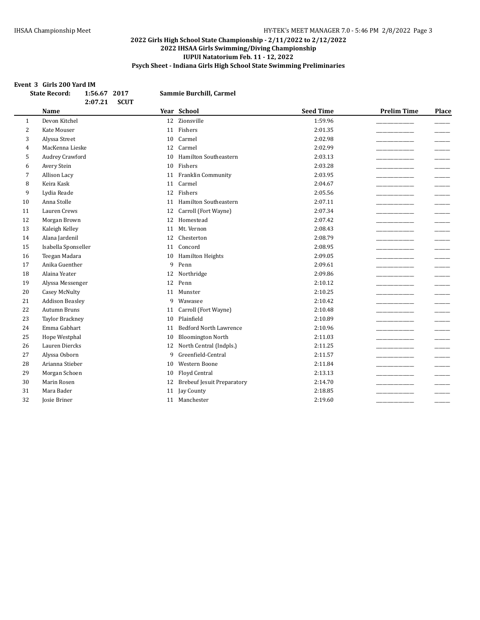#### **Event 3 Girls 200 Yard IM**

| 2:07.21<br><b>SCUT</b><br>Year School<br><b>Seed Time</b><br><b>Name</b><br>Devon Kitchel<br>12 Zionsville<br>1:59.96<br>1<br>$\overline{2}$<br>11 Fishers<br><b>Kate Mouser</b><br>2:01.35<br>3<br>2:02.98<br>Alyssa Street<br>Carmel<br>10<br>MacKenna Lieske<br>2:02.99<br>12<br>Carmel<br>4 | <b>Prelim Time</b> | Place |
|-------------------------------------------------------------------------------------------------------------------------------------------------------------------------------------------------------------------------------------------------------------------------------------------------|--------------------|-------|
|                                                                                                                                                                                                                                                                                                 |                    |       |
|                                                                                                                                                                                                                                                                                                 |                    |       |
|                                                                                                                                                                                                                                                                                                 |                    |       |
|                                                                                                                                                                                                                                                                                                 |                    |       |
|                                                                                                                                                                                                                                                                                                 |                    |       |
| Hamilton Southeastern<br>2:03.13                                                                                                                                                                                                                                                                |                    |       |
| Audrey Crawford<br>5<br>10<br>Fishers                                                                                                                                                                                                                                                           |                    |       |
| 2:03.28<br>Avery Stein<br>10<br>6                                                                                                                                                                                                                                                               |                    |       |
| 7<br>Allison Lacy<br>Franklin Community<br>2:03.95<br>11                                                                                                                                                                                                                                        |                    |       |
| Keira Kask<br>Carmel<br>8<br>2:04.67<br>11                                                                                                                                                                                                                                                      |                    |       |
| Fishers<br>9<br>Lydia Reade<br>2:05.56<br>12                                                                                                                                                                                                                                                    |                    |       |
| Anna Stolle<br>Hamilton Southeastern<br>10<br>2:07.11<br>11                                                                                                                                                                                                                                     |                    |       |
| Lauren Crews<br>2:07.34<br>11<br>Carroll (Fort Wayne)<br>12                                                                                                                                                                                                                                     |                    |       |
| 12<br>Homestead<br>2:07.42<br>Morgan Brown<br>12                                                                                                                                                                                                                                                |                    |       |
| 13<br>Kaleigh Kelley<br>Mt. Vernon<br>2:08.43<br>11                                                                                                                                                                                                                                             |                    |       |
| 2:08.79<br>14<br>Alana Jardenil<br>Chesterton<br>12                                                                                                                                                                                                                                             |                    |       |
| 15<br>Concord<br>2:08.95<br>Isabella Sponseller<br>11                                                                                                                                                                                                                                           |                    |       |
| 16<br>Teegan Madara<br>2:09.05<br>Hamilton Heights<br>10                                                                                                                                                                                                                                        |                    |       |
| Anika Guenther<br>9<br>17<br>Penn<br>2:09.61                                                                                                                                                                                                                                                    |                    |       |
| 18<br>Alaina Yeater<br>Northridge<br>2:09.86<br>12                                                                                                                                                                                                                                              |                    |       |
| Penn<br>19<br>12<br>2:10.12<br>Alyssa Messenger                                                                                                                                                                                                                                                 |                    |       |
| 20<br><b>Casey McNulty</b><br>Munster<br>2:10.25<br>11                                                                                                                                                                                                                                          |                    |       |
| <b>Addison Beasley</b><br>2:10.42<br>21<br>9<br>Wawasee                                                                                                                                                                                                                                         |                    |       |
| 22<br><b>Autumn Bruns</b><br>Carroll (Fort Wayne)<br>2:10.48<br>11                                                                                                                                                                                                                              |                    |       |
| 23<br>Plainfield<br><b>Taylor Brackney</b><br>2:10.89<br>10                                                                                                                                                                                                                                     |                    |       |
| Emma Gabhart<br>24<br><b>Bedford North Lawrence</b><br>2:10.96<br>11                                                                                                                                                                                                                            |                    |       |
| 25<br>Hope Westphal<br>2:11.03<br><b>Bloomington North</b><br>10                                                                                                                                                                                                                                |                    |       |
| 26<br>Lauren Diercks<br>North Central (Indpls.)<br>2:11.25<br>12                                                                                                                                                                                                                                |                    |       |
| 27<br>Alyssa Osborn<br>Greenfield-Central<br>9<br>2:11.57                                                                                                                                                                                                                                       |                    |       |
| Arianna Stieber<br><b>Western Boone</b><br>28<br>2:11.84<br>10                                                                                                                                                                                                                                  |                    |       |
| 29<br>Morgan Schoen<br>Floyd Central<br>2:13.13<br>10                                                                                                                                                                                                                                           |                    |       |
| <b>Brebeuf Jesuit Preparatory</b><br>30<br>Marin Rosen<br>2:14.70<br>12                                                                                                                                                                                                                         |                    |       |
| 31<br>Mara Bader<br>Jay County<br>2:18.85<br>11                                                                                                                                                                                                                                                 |                    |       |
| 32<br><b>Josie Briner</b><br>Manchester<br>2:19.60<br>11                                                                                                                                                                                                                                        |                    |       |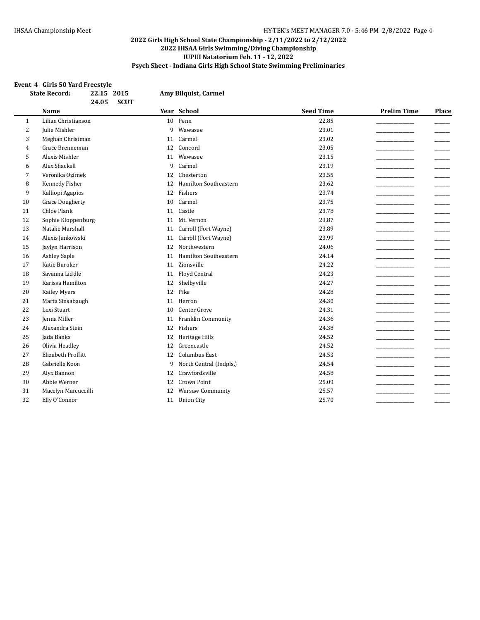# **Event 4 Girls 50 Yard Freestyle**

| <b>State Record:</b><br>22.15 2015<br>24.05<br><b>SCUT</b> |                        | Amy Bilquist, Carmel               |                  |                             |
|------------------------------------------------------------|------------------------|------------------------------------|------------------|-----------------------------|
|                                                            | <b>Name</b>            | Year School                        | <b>Seed Time</b> | <b>Prelim Time</b><br>Place |
| $\mathbf{1}$                                               | Lilian Christianson    | Penn<br>10                         | 22.85            |                             |
| $\overline{c}$                                             | Julie Mishler          | 9<br>Wawasee                       | 23.01            |                             |
| 3                                                          | Meghan Christman       | Carmel<br>11                       | 23.02            |                             |
| 4                                                          | Grace Brenneman        | Concord<br>12                      | 23.05            |                             |
| 5                                                          | Alexis Mishler         | Wawasee<br>11                      | 23.15            |                             |
| 6                                                          | Alex Shackell          | 9<br>Carmel                        | 23.19            |                             |
| 7                                                          | Veronika Ozimek        | Chesterton<br>12                   | 23.55            |                             |
| 8                                                          | Kennedy Fisher         | Hamilton Southeastern<br>12        | 23.62            |                             |
| 9                                                          | Kalliopi Agapios       | Fishers<br>12                      | 23.74            |                             |
| 10                                                         | <b>Grace Dougherty</b> | Carmel<br>10                       | 23.75            |                             |
| 11                                                         | <b>Chloe Plank</b>     | Castle<br>11                       | 23.78            |                             |
| 12                                                         | Sophie Kloppenburg     | Mt. Vernon<br>11                   | 23.87            |                             |
| 13                                                         | Natalie Marshall       | Carroll (Fort Wayne)<br>11         | 23.89            |                             |
| 14                                                         | Alexis Jankowski       | Carroll (Fort Wayne)<br>11         | 23.99            |                             |
| 15                                                         | Jaylyn Harrison        | Northwestern<br>12                 | 24.06            |                             |
| 16                                                         | <b>Ashley Saple</b>    | <b>Hamilton Southeastern</b><br>11 | 24.14            | $\overline{\phantom{a}}$    |
| 17                                                         | Katie Buroker          | Zionsville<br>11                   | 24.22            |                             |
| 18                                                         | Savanna Liddle         | Floyd Central<br>11                | 24.23            |                             |
| 19                                                         | Karissa Hamilton       | Shelbyville<br>12                  | 24.27            |                             |
| 20                                                         | Kailey Myers           | Pike<br>12                         | 24.28            |                             |
| 21                                                         | Marta Sinsabaugh       | Herron<br>11                       | 24.30            |                             |
| 22                                                         | Lexi Stuart            | Center Grove<br>10                 | 24.31            |                             |
| 23                                                         | Jenna Miller           | Franklin Community<br>11           | 24.36            |                             |
| 24                                                         | Alexandra Stein        | Fishers<br>12                      | 24.38            |                             |
| 25                                                         | Jada Banks             | Heritage Hills<br>12               | 24.52            |                             |
| 26                                                         | Olivia Headley         | Greencastle<br>12                  | 24.52            |                             |
| 27                                                         | Elizabeth Proffitt     | <b>Columbus East</b><br>12         | 24.53            |                             |
| 28                                                         | Gabrielle Koon         | North Central (Indpls.)<br>9       | 24.54            |                             |
| 29                                                         | Alyx Bannon            | Crawfordsville<br>12               | 24.58            |                             |
| 30                                                         | Abbie Werner           | Crown Point<br>12                  | 25.09            |                             |
| 31                                                         | Macelyn Marcuccilli    | <b>Warsaw Community</b><br>12      | 25.57            |                             |
| 32                                                         | Elly O'Connor          | 11<br><b>Union City</b>            | 25.70            |                             |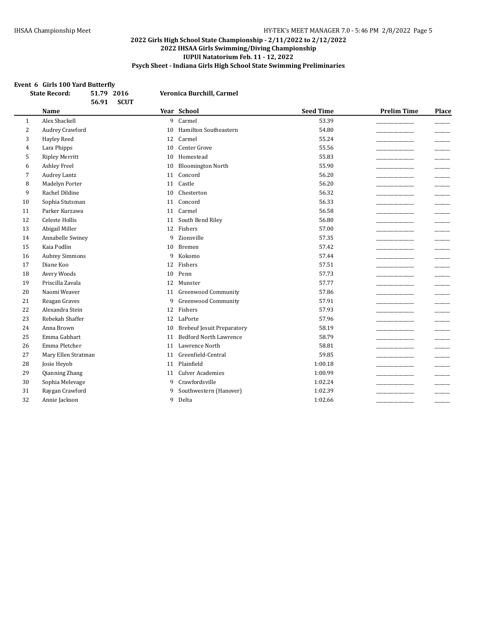#### **Event 6 Girls 100 Yard Butterfly**

|                | <b>State Record:</b><br>51.79 2016 |             | Veronica Burchill, Carmel         |                  |                    |                          |
|----------------|------------------------------------|-------------|-----------------------------------|------------------|--------------------|--------------------------|
|                | 56.91<br><b>Name</b>               | <b>SCUT</b> | Year School                       | <b>Seed Time</b> | <b>Prelim Time</b> | Place                    |
| 1              | Alex Shackell                      | 9           | Carmel                            | 53.39            |                    |                          |
| $\overline{2}$ | Audrey Crawford                    | 10          | Hamilton Southeastern             | 54.80            |                    |                          |
| 3              | <b>Hayley Reed</b>                 | 12          | Carmel                            | 55.24            |                    | _____                    |
| 4              | Lara Phipps                        | 10          | Center Grove                      | 55.56            |                    |                          |
| 5              | <b>Ripley Merritt</b>              | 10          | Homestead                         | 55.83            |                    |                          |
| 6              | <b>Ashley Freel</b>                | 10          | <b>Bloomington North</b>          | 55.90            |                    |                          |
| 7              | <b>Audrey Lantz</b>                | 11          | Concord                           | 56.20            |                    | $\overline{\phantom{a}}$ |
| 8              | Madelyn Porter                     | 11          | Castle                            | 56.20            |                    |                          |
| 9              | Rachel Dildine                     | 10          | Chesterton                        | 56.32            |                    |                          |
| 10             | Sophia Stutsman                    | 11          | Concord                           | 56.33            |                    |                          |
| 11             | Parker Kurzawa                     | 11          | Carmel                            | 56.58            |                    |                          |
| 12             | Celeste Hollis                     | 11          | South Bend Riley                  | 56.80            |                    |                          |
| 13             | Abigail Miller                     | 12          | Fishers                           | 57.00            |                    |                          |
| 14             | Annabelle Swiney                   | 9           | Zionsville                        | 57.35            |                    |                          |
| 15             | Kaia Podlin                        | 10          | Bremen                            | 57.42            |                    |                          |
| 16             | <b>Aubrey Simmons</b>              | 9           | Kokomo                            | 57.44            |                    |                          |
| 17             | Diane Koo                          | 12          | Fishers                           | 57.51            |                    |                          |
| 18             | Avery Woods                        | 10          | Penn                              | 57.73            |                    |                          |
| 19             | Priscilla Zavala                   | 12          | Munster                           | 57.77            |                    |                          |
| 20             | Naomi Weaver                       | 11          | <b>Greenwood Community</b>        | 57.86            |                    |                          |
| 21             | Reagan Graves                      | 9           | <b>Greenwood Community</b>        | 57.91            |                    |                          |
| 22             | Alexandra Stein                    | 12          | Fishers                           | 57.93            |                    |                          |
| 23             | Rebekah Shaffer                    | 12          | LaPorte                           | 57.96            |                    |                          |
| 24             | Anna Brown                         | 10          | <b>Brebeuf Jesuit Preparatory</b> | 58.19            |                    |                          |
| 25             | Emma Gabhart                       | 11          | <b>Bedford North Lawrence</b>     | 58.79            |                    |                          |
| 26             | Emma Pletcher                      | 11          | Lawrence North                    | 58.81            |                    |                          |
| 27             | Mary Ellen Stratman                | 11          | Greenfield-Central                | 59.85            |                    |                          |
| 28             | Josie Heyob                        |             | 11 Plainfield                     | 1:00.18          |                    |                          |
| 29             | Qianning Zhang                     | 11          | <b>Culver Academies</b>           | 1:00.99          |                    |                          |
| 30             | Sophia Melevage                    | 9           | Crawfordsville                    | 1:02.24          |                    |                          |
| 31             | Raygan Crawford                    | 9           | Southwestern (Hanover)            | 1:02.39          |                    |                          |
| 32             | Annie Jackson                      | 9           | Delta                             | 1:02.66          |                    |                          |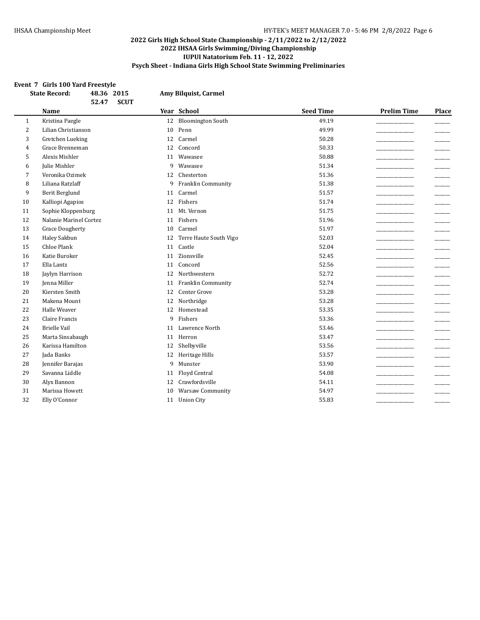#### **Event 7 Girls 100 Yard Freestyle**

| and 100 faid ricestyle<br><b>State Record:</b><br>48.36 2015<br>52.47<br><b>SCUT</b> |                        |    | Amy Bilquist, Carmel      |                  |                    |                          |
|--------------------------------------------------------------------------------------|------------------------|----|---------------------------|------------------|--------------------|--------------------------|
|                                                                                      | <b>Name</b>            |    | Year School               | <b>Seed Time</b> | <b>Prelim Time</b> | Place                    |
| 1                                                                                    | Kristina Paegle        | 12 | <b>Bloomington South</b>  | 49.19            |                    |                          |
| $\overline{2}$                                                                       | Lilian Christianson    | 10 | Penn                      | 49.99            |                    |                          |
| 3                                                                                    | Gretchen Lueking       | 12 | Carmel                    | 50.28            |                    |                          |
| 4                                                                                    | Grace Brenneman        | 12 | Concord                   | 50.33            |                    |                          |
| 5                                                                                    | Alexis Mishler         | 11 | Wawasee                   | 50.88            |                    |                          |
| 6                                                                                    | Julie Mishler          | 9  | Wawasee                   | 51.34            |                    |                          |
| 7                                                                                    | Veronika Ozimek        | 12 | Chesterton                | 51.36            |                    |                          |
| 8                                                                                    | Liliana Ratzlaff       | 9  | <b>Franklin Community</b> | 51.38            |                    | $\overline{\phantom{a}}$ |
| 9                                                                                    | Berit Berglund         | 11 | Carmel                    | 51.57            |                    |                          |
| 10                                                                                   | Kalliopi Agapios       | 12 | Fishers                   | 51.74            |                    |                          |
| 11                                                                                   | Sophie Kloppenburg     | 11 | Mt. Vernon                | 51.75            |                    |                          |
| 12                                                                                   | Nalanie Marinel Cortez |    | 11 Fishers                | 51.96            |                    |                          |
| 13                                                                                   | <b>Grace Dougherty</b> | 10 | Carmel                    | 51.97            |                    |                          |
| 14                                                                                   | Haley Sakbun           | 12 | Terre Haute South Vigo    | 52.03            |                    |                          |
| 15                                                                                   | <b>Chloe Plank</b>     | 11 | Castle                    | 52.04            |                    |                          |
| 16                                                                                   | Katie Buroker          | 11 | Zionsville                | 52.45            |                    |                          |
| 17                                                                                   | Ella Lantz             | 11 | Concord                   | 52.56            |                    |                          |
| 18                                                                                   | Jaylyn Harrison        | 12 | Northwestern              | 52.72            |                    |                          |
| 19                                                                                   | Jenna Miller           | 11 | Franklin Community        | 52.74            |                    |                          |
| 20                                                                                   | Kiersten Smith         | 12 | Center Grove              | 53.28            |                    |                          |
| 21                                                                                   | Makena Mount           | 12 | Northridge                | 53.28            |                    |                          |
| 22                                                                                   | Halle Weaver           | 12 | Homestead                 | 53.35            |                    |                          |
| 23                                                                                   | Claire Francis         | 9  | Fishers                   | 53.36            |                    |                          |
| 24                                                                                   | <b>Brielle Vail</b>    | 11 | Lawrence North            | 53.46            |                    | $\overline{\phantom{a}}$ |
| 25                                                                                   | Marta Sinsabaugh       | 11 | Herron                    | 53.47            |                    |                          |
| 26                                                                                   | Karissa Hamilton       | 12 | Shelbyville               | 53.56            |                    |                          |
| 27                                                                                   | Jada Banks             | 12 | Heritage Hills            | 53.57            |                    |                          |
| 28                                                                                   | Jennifer Barajas       | 9  | Munster                   | 53.90            |                    |                          |
| 29                                                                                   | Savanna Liddle         | 11 | Floyd Central             | 54.08            |                    |                          |
| 30                                                                                   | Alyx Bannon            | 12 | Crawfordsville            | 54.11            |                    |                          |
| 31                                                                                   | Marissa Howett         | 10 | <b>Warsaw Community</b>   | 54.97            |                    |                          |
| 32                                                                                   | Elly O'Connor          |    | 11 Union City             | 55.83            |                    |                          |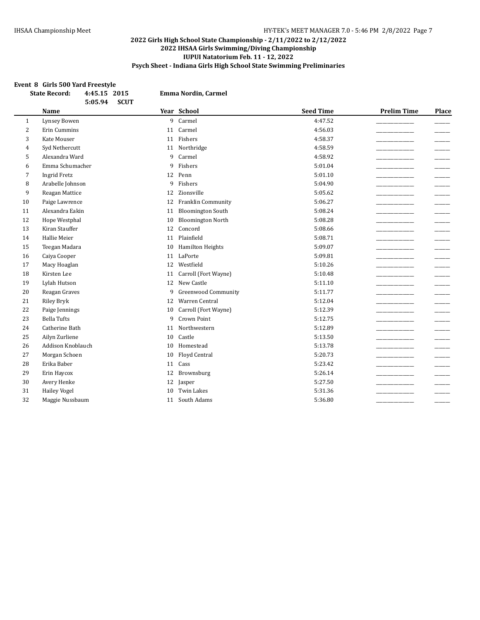#### **Event 8 Girls 500 Yard Freestyle**

|                | <b>State Record:</b><br>4:45.15 2015  |    | <b>Emma Nordin, Carmel</b> |                  |                    |       |
|----------------|---------------------------------------|----|----------------------------|------------------|--------------------|-------|
|                | 5:05.94<br><b>SCUT</b><br><b>Name</b> |    | Year School                | <b>Seed Time</b> | <b>Prelim Time</b> | Place |
| $\mathbf{1}$   | Lynsey Bowen                          | 9  | Carmel                     | 4:47.52          |                    |       |
| $\overline{2}$ | <b>Erin Cummins</b>                   | 11 | Carmel                     | 4:56.03          |                    |       |
| 3              | Kate Mouser                           |    | 11 Fishers                 | 4:58.37          |                    |       |
| 4              | Syd Nethercutt                        | 11 | Northridge                 | 4:58.59          |                    |       |
| 5              | Alexandra Ward                        | 9  | Carmel                     | 4:58.92          |                    |       |
| 6              | Emma Schumacher                       | 9  | Fishers                    | 5:01.04          |                    |       |
| 7              | <b>Ingrid Fretz</b>                   | 12 | Penn                       | 5:01.10          |                    |       |
| 8              | Arabelle Johnson                      | 9  | Fishers                    | 5:04.90          |                    |       |
| 9              | Reagan Mattice                        | 12 | Zionsville                 | 5:05.62          |                    |       |
| 10             | Paige Lawrence                        | 12 | Franklin Community         | 5:06.27          |                    |       |
| 11             | Alexandra Eakin                       | 11 | <b>Bloomington South</b>   | 5:08.24          |                    |       |
| 12             | Hope Westphal                         | 10 | <b>Bloomington North</b>   | 5:08.28          |                    |       |
| 13             | Kiran Stauffer                        | 12 | Concord                    | 5:08.66          |                    |       |
| 14             | Hallie Meier                          | 11 | Plainfield                 | 5:08.71          |                    |       |
| 15             | Teegan Madara                         | 10 | Hamilton Heights           | 5:09.07          |                    |       |
| 16             | Caiya Cooper                          | 11 | LaPorte                    | 5:09.81          |                    |       |
| 17             | Macy Hoaglan                          | 12 | Westfield                  | 5:10.26          |                    |       |
| 18             | Kirsten Lee                           | 11 | Carroll (Fort Wayne)       | 5:10.48          |                    |       |
| 19             | Lylah Hutson                          | 12 | New Castle                 | 5:11.10          |                    |       |
| 20             | Reagan Graves                         | 9  | <b>Greenwood Community</b> | 5:11.77          |                    |       |
| 21             | Riley Bryk                            | 12 | Warren Central             | 5:12.04          |                    |       |
| 22             | Paige Jennings                        | 10 | Carroll (Fort Wayne)       | 5:12.39          |                    |       |
| 23             | <b>Bella Tufts</b>                    | 9  | <b>Crown Point</b>         | 5:12.75          |                    |       |
| 24             | Catherine Bath                        | 11 | Northwestern               | 5:12.89          |                    |       |
| 25             | Ailyn Zurliene                        | 10 | Castle                     | 5:13.50          |                    |       |
| 26             | <b>Addison Knoblauch</b>              | 10 | Homestead                  | 5:13.78          |                    |       |
| 27             | Morgan Schoen                         | 10 | Floyd Central              | 5:20.73          |                    |       |
| 28             | Erika Baber                           | 11 | $\rm Cass$                 | 5:23.42          |                    |       |
| 29             | Erin Haycox                           | 12 | Brownsburg                 | 5:26.14          |                    |       |
| 30             | Avery Henke                           | 12 | Jasper                     | 5:27.50          |                    |       |
| 31             | <b>Hailey Vogel</b>                   | 10 | <b>Twin Lakes</b>          | 5:31.36          |                    |       |
| 32             | Maggie Nussbaum                       | 11 | South Adams                | 5:36.80          |                    |       |
|                |                                       |    |                            |                  |                    |       |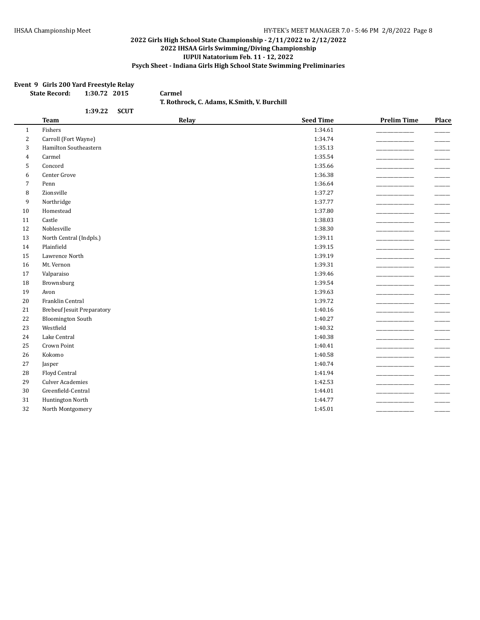#### **Event 9 Girls 200 Yard Freestyle Relay**

| <b>State Record:</b> | 1:30.72 2015 |  |  |
|----------------------|--------------|--|--|
|----------------------|--------------|--|--|

**T. Rothrock, C. Adams, K.Smith, V. Burchill**

 $Carnel$ 

|                | 1:39.22<br><b>SCUT</b>            |       |                  |                    |                          |
|----------------|-----------------------------------|-------|------------------|--------------------|--------------------------|
|                | <b>Team</b>                       | Relay | <b>Seed Time</b> | <b>Prelim Time</b> | Place                    |
| $\mathbf{1}$   | Fishers                           |       | 1:34.61          |                    |                          |
| $\overline{2}$ | Carroll (Fort Wayne)              |       | 1:34.74          |                    |                          |
| 3              | Hamilton Southeastern             |       | 1:35.13          |                    |                          |
| $\overline{4}$ | Carmel                            |       | 1:35.54          |                    |                          |
| 5              | Concord                           |       | 1:35.66          |                    |                          |
| 6              | Center Grove                      |       | 1:36.38          |                    |                          |
| $\overline{7}$ | Penn                              |       | 1:36.64          |                    |                          |
| 8              | Zionsville                        |       | 1:37.27          |                    |                          |
| 9              | Northridge                        |       | 1:37.77          |                    |                          |
| 10             | Homestead                         |       | 1:37.80          |                    |                          |
| 11             | Castle                            |       | 1:38.03          |                    | --                       |
| 12             | Noblesville                       |       | 1:38.30          |                    |                          |
| 13             | North Central (Indpls.)           |       | 1:39.11          |                    |                          |
| 14             | Plainfield                        |       | 1:39.15          |                    | ____                     |
| 15             | Lawrence North                    |       | 1:39.19          |                    |                          |
| 16             | Mt. Vernon                        |       | 1:39.31          |                    |                          |
| 17             | Valparaiso                        |       | 1:39.46          |                    | $\overline{\phantom{0}}$ |
| 18             | Brownsburg                        |       | 1:39.54          |                    |                          |
| 19             | Avon                              |       | 1:39.63          |                    |                          |
| 20             | Franklin Central                  |       | 1:39.72          |                    |                          |
| 21             | <b>Brebeuf Jesuit Preparatory</b> |       | 1:40.16          |                    |                          |
| 22             | <b>Bloomington South</b>          |       | 1:40.27          |                    |                          |
| 23             | Westfield                         |       | 1:40.32          |                    |                          |
| 24             | Lake Central                      |       | 1:40.38          |                    |                          |
| 25             | Crown Point                       |       | 1:40.41          |                    | ___                      |
| 26             | Kokomo                            |       | 1:40.58          |                    |                          |
| 27             | Jasper                            |       | 1:40.74          |                    |                          |
| 28             | Floyd Central                     |       | 1:41.94          |                    |                          |
| 29             | <b>Culver Academies</b>           |       | 1:42.53          |                    |                          |
| $30\,$         | Greenfield-Central                |       | 1:44.01          |                    |                          |
| 31             | Huntington North                  |       | 1:44.77          |                    |                          |
| 32             | North Montgomery                  |       | 1:45.01          |                    |                          |
|                |                                   |       |                  |                    |                          |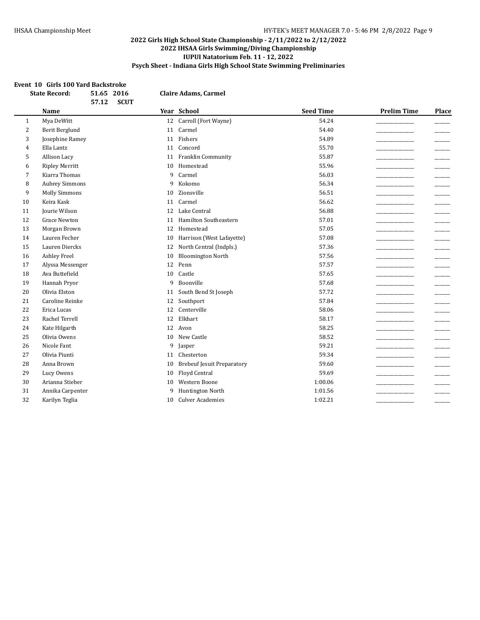#### **Event 10 Girls 100 Yard Backstroke**

|    | <b>State Record:</b><br>51.65 2016<br>57.12<br><b>SCUT</b> |    | <b>Claire Adams, Carmel</b>       |                  |                    |                          |
|----|------------------------------------------------------------|----|-----------------------------------|------------------|--------------------|--------------------------|
|    | <b>Name</b>                                                |    | Year School                       | <b>Seed Time</b> | <b>Prelim Time</b> | Place                    |
| 1  | Mya DeWitt                                                 | 12 | Carroll (Fort Wayne)              | 54.24            |                    |                          |
| 2  | Berit Berglund                                             | 11 | Carmel                            | 54.40            |                    |                          |
| 3  | Josephine Ramey                                            |    | 11 Fishers                        | 54.89            |                    |                          |
| 4  | Ella Lantz                                                 | 11 | Concord                           | 55.70            |                    |                          |
| 5  | Allison Lacy                                               | 11 | Franklin Community                | 55.87            |                    |                          |
| 6  | <b>Ripley Merritt</b>                                      | 10 | Homestead                         | 55.96            |                    |                          |
| 7  | Kiarra Thomas                                              | 9  | Carmel                            | 56.03            |                    |                          |
| 8  | <b>Aubrey Simmons</b>                                      | 9  | Kokomo                            | 56.34            |                    |                          |
| 9  | <b>Molly Simmons</b>                                       | 10 | Zionsville                        | 56.51            |                    |                          |
| 10 | Keira Kask                                                 | 11 | Carmel                            | 56.62            |                    |                          |
| 11 | Jourie Wilson                                              | 12 | Lake Central                      | 56.88            |                    |                          |
| 12 | <b>Grace Newton</b>                                        | 11 | Hamilton Southeastern             | 57.01            |                    |                          |
| 13 | Morgan Brown                                               | 12 | Homestead                         | 57.05            |                    |                          |
| 14 | Lauren Fecher                                              | 10 | Harrison (West Lafayette)         | 57.08            |                    |                          |
| 15 | Lauren Diercks                                             | 12 | North Central (Indpls.)           | 57.36            |                    |                          |
| 16 | <b>Ashley Freel</b>                                        | 10 | <b>Bloomington North</b>          | 57.56            |                    |                          |
| 17 | Alyssa Messenger                                           | 12 | Penn                              | 57.57            |                    | $\overline{\phantom{a}}$ |
| 18 | Ava Buttefield                                             | 10 | Castle                            | 57.65            |                    |                          |
| 19 | Hannah Pryor                                               | 9  | Boonville                         | 57.68            |                    |                          |
| 20 | Olivia Elston                                              | 11 | South Bend St Joseph              | 57.72            |                    |                          |
| 21 | Caroline Reinke                                            | 12 | Southport                         | 57.84            |                    |                          |
| 22 | Erica Lucas                                                | 12 | Centerville                       | 58.06            |                    |                          |
| 23 | Rachel Terrell                                             | 12 | Elkhart                           | 58.17            |                    |                          |
| 24 | Kate Hilgarth                                              | 12 | Avon                              | 58.25            |                    |                          |
| 25 | Olivia Owens                                               | 10 | New Castle                        | 58.52            |                    |                          |
| 26 | Nicole Fant                                                | 9  | Jasper                            | 59.21            |                    |                          |
| 27 | Olivia Piunti                                              | 11 | Chesterton                        | 59.34            |                    |                          |
| 28 | Anna Brown                                                 | 10 | <b>Brebeuf Jesuit Preparatory</b> | 59.60            |                    |                          |
| 29 | Lucy Owens                                                 | 10 | Floyd Central                     | 59.69            |                    |                          |
| 30 | Arianna Stieber                                            | 10 | Western Boone                     | 1:00.06          |                    |                          |
| 31 | Annika Carpenter                                           | 9  | Huntington North                  | 1:01.56          |                    |                          |
| 32 | Karilyn Teglia                                             | 10 | <b>Culver Academies</b>           | 1:02.21          |                    |                          |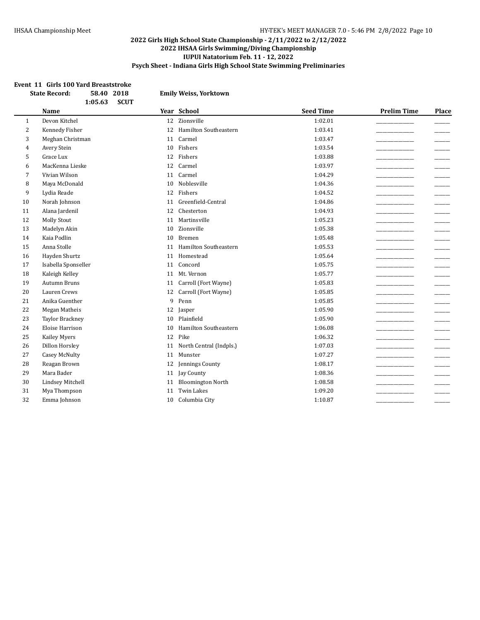#### **Event 11 Girls 100 Yard Breaststroke**

| <b>State Record:</b><br>58.40 2018<br>1:05.63<br><b>SCUT</b> |                         | <b>Emily Weiss, Yorktown</b> |                                         |                             |
|--------------------------------------------------------------|-------------------------|------------------------------|-----------------------------------------|-----------------------------|
|                                                              | <b>Name</b>             | Year School                  | <b>Seed Time</b>                        | <b>Prelim Time</b><br>Place |
| 1                                                            | Devon Kitchel           | 12 Zionsville                | 1:02.01                                 |                             |
| 2                                                            | Kennedy Fisher          | 12                           | <b>Hamilton Southeastern</b><br>1:03.41 |                             |
| 3                                                            | Meghan Christman        | Carmel<br>11                 | 1:03.47                                 |                             |
| $\overline{4}$                                               | Avery Stein             | Fishers<br>10                | 1:03.54                                 |                             |
| 5                                                            | <b>Grace Lux</b>        | Fishers<br>12                | 1:03.88                                 |                             |
| 6                                                            | MacKenna Lieske         | Carmel<br>12                 | 1:03.97                                 |                             |
| 7                                                            | Vivian Wilson           | Carmel<br>11                 | 1:04.29                                 |                             |
| 8                                                            | Maya McDonald           | Noblesville<br>10            | 1:04.36                                 | $\overline{\phantom{a}}$    |
| 9                                                            | Lydia Reade             | Fishers<br>12                | 1:04.52                                 |                             |
| 10                                                           | Norah Johnson           | 11                           | Greenfield-Central<br>1:04.86           |                             |
| 11                                                           | Alana Jardenil          | Chesterton<br>12             | 1:04.93                                 |                             |
| 12                                                           | <b>Molly Stout</b>      | 11 Martinsville              | 1:05.23                                 |                             |
| 13                                                           | Madelyn Akin            | Zionsville<br>10             | 1:05.38                                 |                             |
| 14                                                           | Kaia Podlin             | 10<br><b>Bremen</b>          | 1:05.48                                 |                             |
| 15                                                           | Anna Stolle             | 11                           | <b>Hamilton Southeastern</b><br>1:05.53 |                             |
| 16                                                           | Hayden Shurtz           | Homestead<br>11              | 1:05.64                                 |                             |
| 17                                                           | Isabella Sponseller     | Concord<br>11                | 1:05.75                                 |                             |
| 18                                                           | Kaleigh Kelley          | Mt. Vernon<br>11             | 1:05.77                                 |                             |
| 19                                                           | <b>Autumn Bruns</b>     | 11                           | Carroll (Fort Wayne)<br>1:05.83         |                             |
| 20                                                           | Lauren Crews            | 12                           | Carroll (Fort Wayne)<br>1:05.85         |                             |
| 21                                                           | Anika Guenther          | 9<br>Penn                    | 1:05.85                                 |                             |
| 22                                                           | Megan Matheis           | 12<br>Jasper                 | 1:05.90                                 |                             |
| 23                                                           | <b>Taylor Brackney</b>  | Plainfield<br>10             | 1:05.90                                 |                             |
| 24                                                           | Eloise Harrison         | 10                           | <b>Hamilton Southeastern</b><br>1:06.08 |                             |
| 25                                                           | <b>Kailey Myers</b>     | Pike<br>12                   | 1:06.32                                 |                             |
| 26                                                           | Dillon Horsley          | 11                           | North Central (Indpls.)<br>1:07.03      |                             |
| 27                                                           | <b>Casey McNulty</b>    | Munster<br>11                | 1:07.27                                 |                             |
| 28                                                           | Reagan Brown            | 12                           | Jennings County<br>1:08.17              |                             |
| 29                                                           | Mara Bader              | Jay County<br>11             | 1:08.36                                 |                             |
| 30                                                           | <b>Lindsey Mitchell</b> | 11                           | <b>Bloomington North</b><br>1:08.58     |                             |
| 31                                                           | Mya Thompson            | <b>Twin Lakes</b><br>11      | 1:09.20                                 |                             |
| 32                                                           | Emma Johnson            | 10                           | 1:10.87<br>Columbia City                |                             |